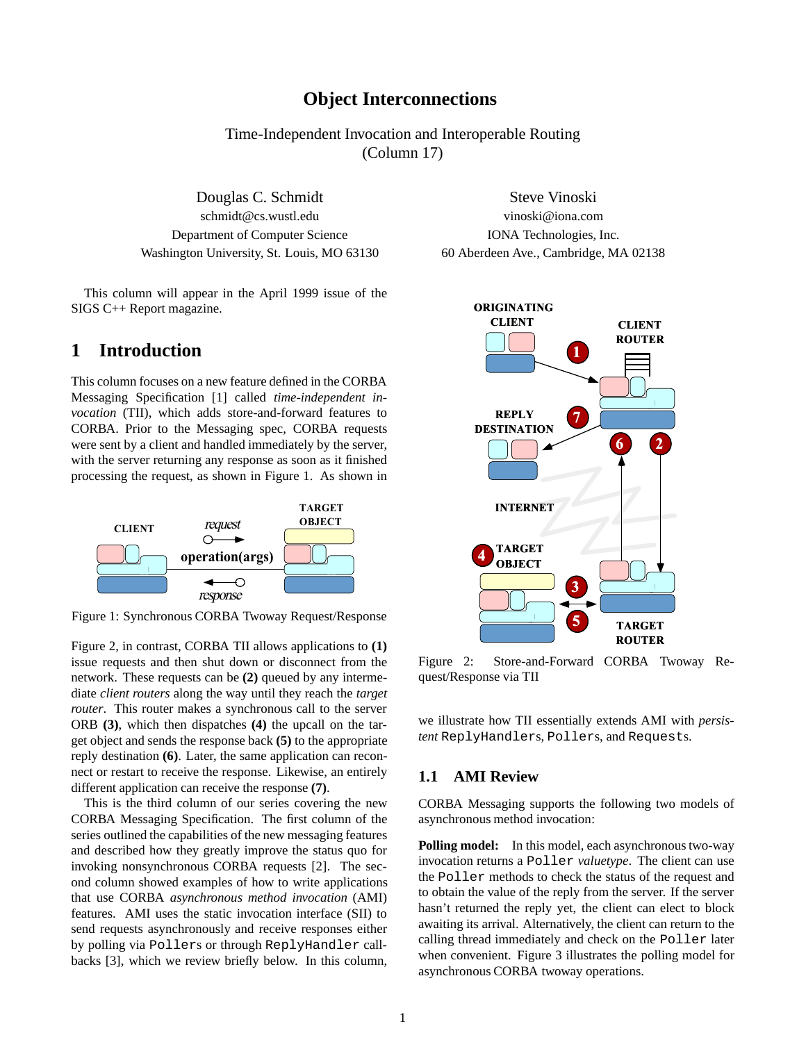### **Object Interconnections**

Time-Independent Invocation and Interoperable Routing (Column 17)

Douglas C. Schmidt Steve Vinoski schmidt@cs.wustl.edu vinoski@iona.com Department of Computer Science IONA Technologies, Inc. Washington University, St. Louis, MO 63130 60 Aberdeen Ave., Cambridge, MA 02138

This column will appear in the April 1999 issue of the SIGS C++ Report magazine.

### **1 Introduction**

This column focuses on a new feature defined in the CORBA Messaging Specification [1] called *time-independent invocation* (TII), which adds store-and-forward features to CORBA. Prior to the Messaging spec, CORBA requests were sent by a client and handled immediately by the server, with the server returning any response as soon as it finished processing the request, as shown in Figure 1. As shown in



Figure 1: Synchronous CORBA Twoway Request/Response

Figure 2, in contrast, CORBA TII allows applications to **(1)** issue requests and then shut down or disconnect from the network. These requests can be **(2)** queued by any intermediate *client routers* along the way until they reach the *target router*. This router makes a synchronous call to the server ORB **(3)**, which then dispatches **(4)** the upcall on the target object and sends the response back **(5)** to the appropriate reply destination **(6)**. Later, the same application can reconnect or restart to receive the response. Likewise, an entirely different application can receive the response **(7)**.

This is the third column of our series covering the new CORBA Messaging Specification. The first column of the series outlined the capabilities of the new messaging features and described how they greatly improve the status quo for invoking nonsynchronous CORBA requests [2]. The second column showed examples of how to write applications that use CORBA *asynchronous method invocation* (AMI) features. AMI uses the static invocation interface (SII) to send requests asynchronously and receive responses either by polling via Pollers or through ReplyHandler callbacks [3], which we review briefly below. In this column,



Figure 2: Store-and-Forward CORBA Twoway Request/Response via TII

we illustrate how TII essentially extends AMI with *persistent* ReplyHandlers, Pollers, and Requests.

#### **1.1 AMI Review**

CORBA Messaging supports the following two models of asynchronous method invocation:

**Polling model:** In this model, each asynchronous two-way invocation returns a Poller *valuetype*. The client can use the Poller methods to check the status of the request and to obtain the value of the reply from the server. If the server hasn't returned the reply yet, the client can elect to block awaiting its arrival. Alternatively, the client can return to the calling thread immediately and check on the Poller later when convenient. Figure 3 illustrates the polling model for asynchronous CORBA twoway operations.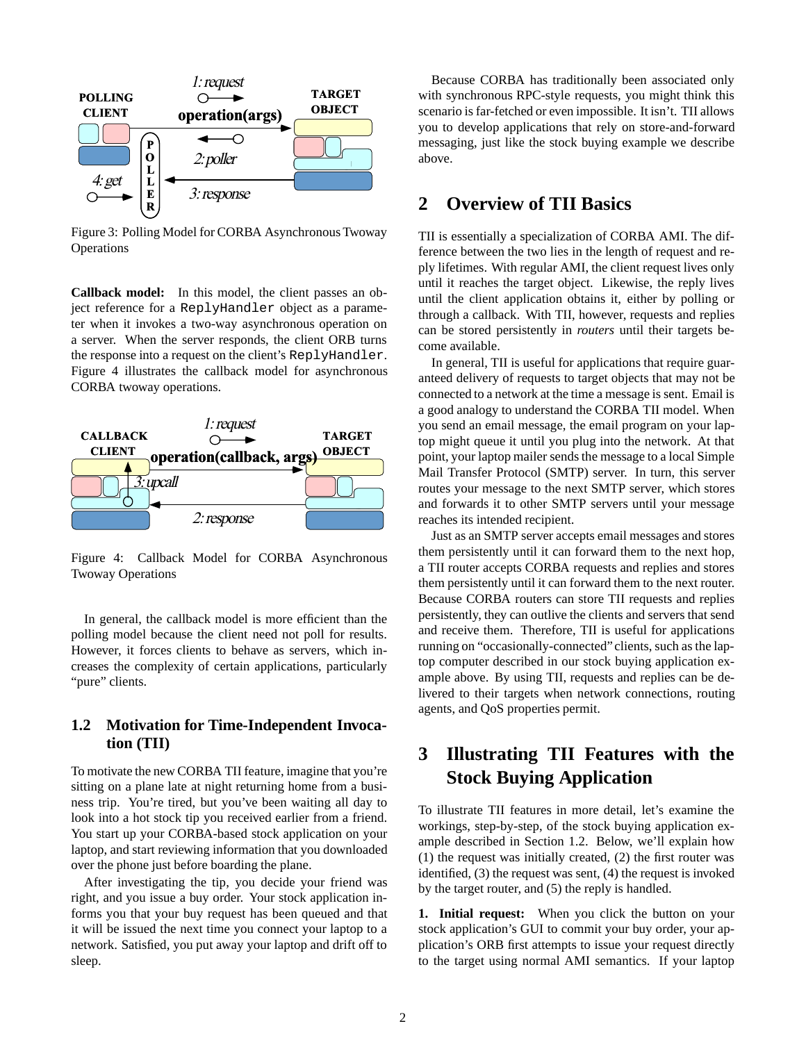

Figure 3: Polling Model for CORBA Asynchronous Twoway **Operations** 

**Callback model:** In this model, the client passes an object reference for a ReplyHandler object as a parameter when it invokes a two-way asynchronous operation on a server. When the server responds, the client ORB turns the response into a request on the client's ReplyHandler. Figure 4 illustrates the callback model for asynchronous CORBA twoway operations.



Figure 4: Callback Model for CORBA Asynchronous Twoway Operations

In general, the callback model is more efficient than the polling model because the client need not poll for results. However, it forces clients to behave as servers, which increases the complexity of certain applications, particularly "pure" clients.

#### **1.2 Motivation for Time-Independent Invocation (TII)**

To motivate the new CORBA TII feature, imagine that you're sitting on a plane late at night returning home from a business trip. You're tired, but you've been waiting all day to look into a hot stock tip you received earlier from a friend. You start up your CORBA-based stock application on your laptop, and start reviewing information that you downloaded over the phone just before boarding the plane.

After investigating the tip, you decide your friend was right, and you issue a buy order. Your stock application informs you that your buy request has been queued and that it will be issued the next time you connect your laptop to a network. Satisfied, you put away your laptop and drift off to sleep.

Because CORBA has traditionally been associated only with synchronous RPC-style requests, you might think this scenario is far-fetched or even impossible. It isn't. TII allows you to develop applications that rely on store-and-forward messaging, just like the stock buying example we describe above.

### **2 Overview of TII Basics**

TII is essentially a specialization of CORBA AMI. The difference between the two lies in the length of request and reply lifetimes. With regular AMI, the client request lives only until it reaches the target object. Likewise, the reply lives until the client application obtains it, either by polling or through a callback. With TII, however, requests and replies can be stored persistently in *routers* until their targets become available.

In general, TII is useful for applications that require guaranteed delivery of requests to target objects that may not be connected to a network at the time a message is sent. Email is a good analogy to understand the CORBA TII model. When you send an email message, the email program on your laptop might queue it until you plug into the network. At that point, your laptop mailer sends the message to a local Simple Mail Transfer Protocol (SMTP) server. In turn, this server routes your message to the next SMTP server, which stores and forwards it to other SMTP servers until your message reaches its intended recipient.

Just as an SMTP server accepts email messages and stores them persistently until it can forward them to the next hop, a TII router accepts CORBA requests and replies and stores them persistently until it can forward them to the next router. Because CORBA routers can store TII requests and replies persistently, they can outlive the clients and servers that send and receive them. Therefore, TII is useful for applications running on "occasionally-connected" clients, such as the laptop computer described in our stock buying application example above. By using TII, requests and replies can be delivered to their targets when network connections, routing agents, and QoS properties permit.

## **3 Illustrating TII Features with the Stock Buying Application**

To illustrate TII features in more detail, let's examine the workings, step-by-step, of the stock buying application example described in Section 1.2. Below, we'll explain how (1) the request was initially created, (2) the first router was identified, (3) the request was sent, (4) the request is invoked by the target router, and (5) the reply is handled.

**1. Initial request:** When you click the button on your stock application's GUI to commit your buy order, your application's ORB first attempts to issue your request directly to the target using normal AMI semantics. If your laptop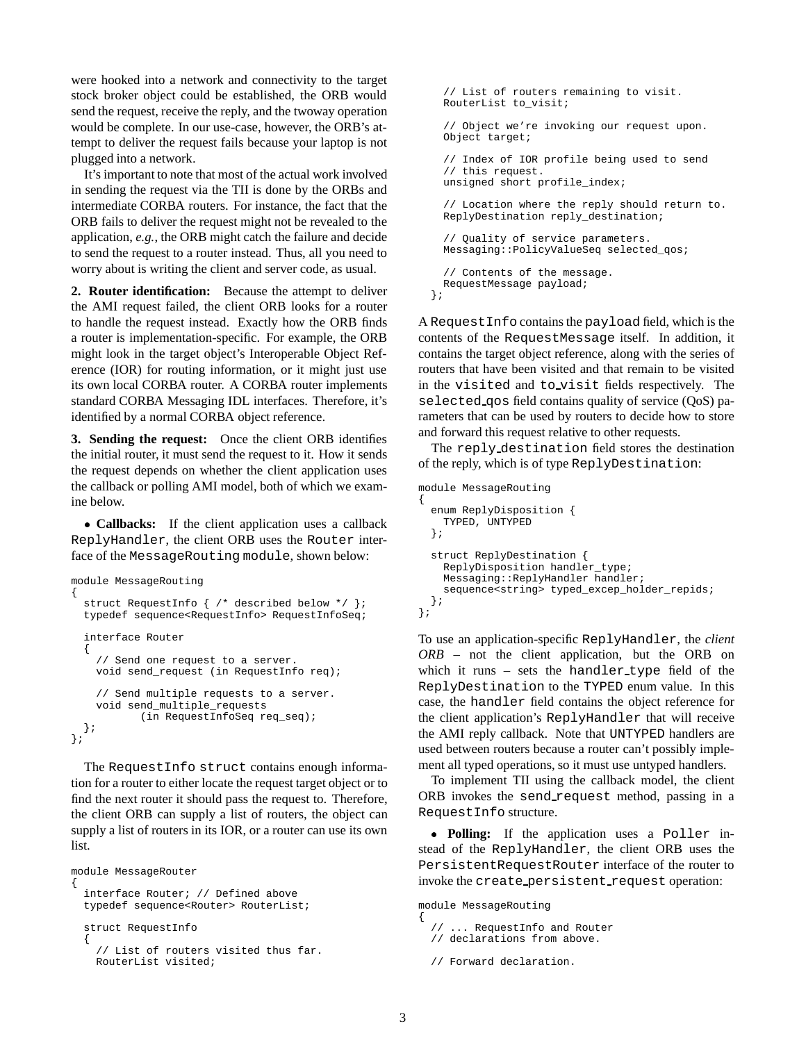were hooked into a network and connectivity to the target stock broker object could be established, the ORB would send the request, receive the reply, and the twoway operation would be complete. In our use-case, however, the ORB's attempt to deliver the request fails because your laptop is not plugged into a network.

It's important to note that most of the actual work involved in sending the request via the TII is done by the ORBs and intermediate CORBA routers. For instance, the fact that the ORB fails to deliver the request might not be revealed to the application, *e.g.*, the ORB might catch the failure and decide to send the request to a router instead. Thus, all you need to worry about is writing the client and server code, as usual.

**2. Router identification:** Because the attempt to deliver the AMI request failed, the client ORB looks for a router to handle the request instead. Exactly how the ORB finds a router is implementation-specific. For example, the ORB might look in the target object's Interoperable Object Reference (IOR) for routing information, or it might just use its own local CORBA router. A CORBA router implements standard CORBA Messaging IDL interfaces. Therefore, it's identified by a normal CORBA object reference.

**3. Sending the request:** Once the client ORB identifies the initial router, it must send the request to it. How it sends the request depends on whether the client application uses the callback or polling AMI model, both of which we examine below.

 **Callbacks:** If the client application uses a callback ReplyHandler, the client ORB uses the Router interface of the MessageRouting module, shown below:

```
module MessageRouting
{
  struct RequestInfo { /* described below */ };
  typedef sequence<RequestInfo> RequestInfoSeq;
  interface Router
  {
    // Send one request to a server.
    void send_request (in RequestInfo req);
    // Send multiple requests to a server.
    void send_multiple_requests
           (in RequestInfoSeq req_seq);
  };
};
```
The RequestInfo struct contains enough information for a router to either locate the request target object or to find the next router it should pass the request to. Therefore, the client ORB can supply a list of routers, the object can supply a list of routers in its IOR, or a router can use its own list.

```
module MessageRouter
{
  interface Router; // Defined above
  typedef sequence<Router> RouterList;
  struct RequestInfo
  {
    // List of routers visited thus far.
    RouterList visited;
```

```
// List of routers remaining to visit.
RouterList to_visit;
// Object we're invoking our request upon.
Object target;
// Index of IOR profile being used to send
// this request.
unsigned short profile_index;
// Location where the reply should return to.
ReplyDestination reply_destination;
// Quality of service parameters.
Messaging::PolicyValueSeq selected_qos;
// Contents of the message.
RequestMessage payload;
```
A RequestInfo contains the payload field, which is the contents of the RequestMessage itself. In addition, it contains the target object reference, along with the series of routers that have been visited and that remain to be visited in the visited and to visit fields respectively. The selected qos field contains quality of service (QoS) parameters that can be used by routers to decide how to store and forward this request relative to other requests.

};

The reply destination field stores the destination of the reply, which is of type ReplyDestination:

```
module MessageRouting
{
  enum ReplyDisposition {
   TYPED, UNTYPED
  };
 struct ReplyDestination {
    ReplyDisposition handler_type;
    Messaging::ReplyHandler handler;
    sequence<string> typed_excep_holder_repids;
 };
};
```
To use an application-specific ReplyHandler, the *client ORB* – not the client application, but the ORB on which it runs  $-$  sets the handler type field of the ReplyDestination to the TYPED enum value. In this case, the handler field contains the object reference for the client application's ReplyHandler that will receive the AMI reply callback. Note that UNTYPED handlers are used between routers because a router can't possibly implement all typed operations, so it must use untyped handlers.

To implement TII using the callback model, the client ORB invokes the send request method, passing in a RequestInfo structure.

 **Polling:**If the application uses a Poller instead of the ReplyHandler, the client ORB uses the PersistentRequestRouter interface of the router to invoke the create persistent request operation:

module MessageRouting {

```
// ... RequestInfo and Router
// declarations from above.
```

```
// Forward declaration.
```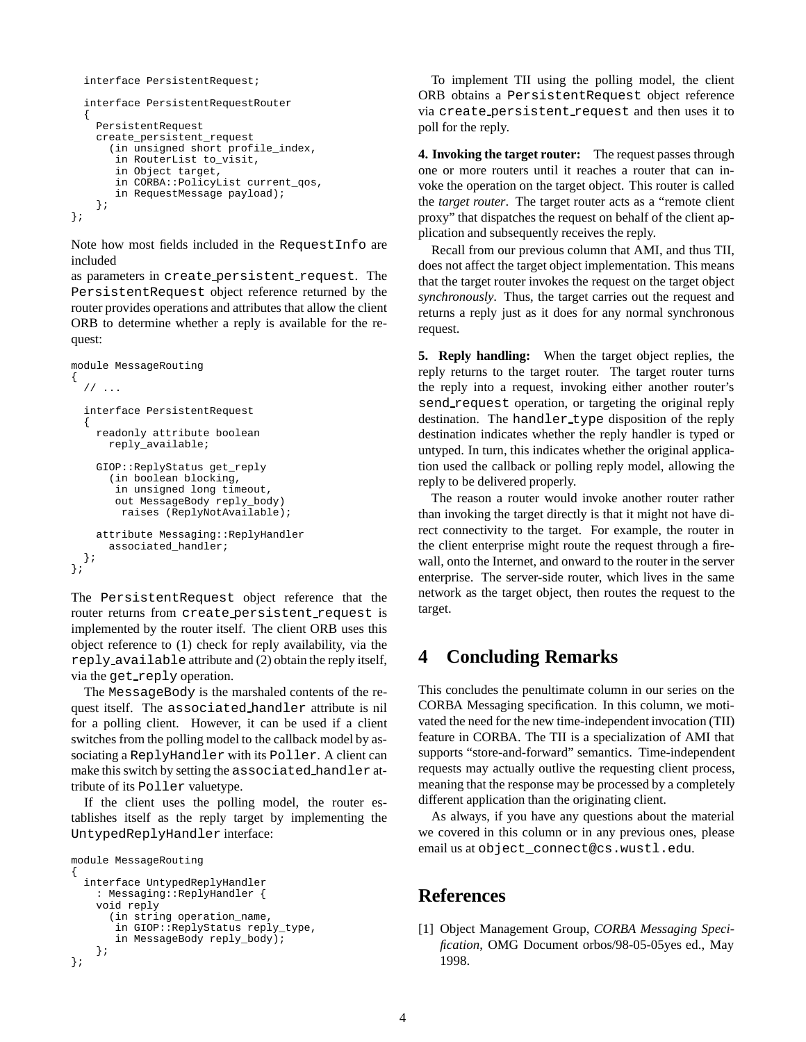```
interface PersistentRequest;
  interface PersistentRequestRouter
  {
    PersistentRequest
    create_persistent_request
      (in unsigned short profile_index,
       in RouterList to_visit,
       in Object target,
       in CORBA::PolicyList current_qos,
       in RequestMessage payload);
    };
};
```
Note how most fields included in the RequestInfo are included

as parameters in create persistent request. The PersistentRequest object reference returned by the router provides operations and attributes that allow the client ORB to determine whether a reply is available for the request:

```
module MessageRouting
```

```
{
  // ...
  interface PersistentRequest
  {
    readonly attribute boolean
      reply_available;
    GIOP::ReplyStatus get_reply
      (in boolean blocking,
       in unsigned long timeout,
       out MessageBody reply_body)
        raises (ReplyNotAvailable);
    attribute Messaging::ReplyHandler
      associated_handler;
 };
};
```
The PersistentRequest object reference that the router returns from create persistent request is implemented by the router itself. The client ORB uses this object reference to (1) check for reply availability, via the reply available attribute and (2) obtain the reply itself, via the get reply operation.

The MessageBody is the marshaled contents of the request itself. The associated handler attribute is nil for a polling client. However, it can be used if a client switches from the polling model to the callback model by associating a ReplyHandler with its Poller. A client can make this switch by setting the associated handler attribute of its Poller valuetype.

If the client uses the polling model, the router establishes itself as the reply target by implementing the UntypedReplyHandler interface:

```
module MessageRouting
{
  interface UntypedReplyHandler
    : Messaging::ReplyHandler {
    void reply
      (in string operation_name,
       in GIOP::ReplyStatus reply_type,
       in MessageBody reply_body);
    };
};
```
To implement TII using the polling model, the client ORB obtains a PersistentRequest object reference via create persistent request and then uses it to poll for the reply.

**4. Invoking the target router:** The request passes through one or more routers until it reaches a router that can invoke the operation on the target object. This router is called the *target router*. The target router acts as a "remote client proxy" that dispatches the request on behalf of the client application and subsequently receives the reply.

Recall from our previous column that AMI, and thus TII, does not affect the target object implementation. This means that the target router invokes the request on the target object *synchronously*. Thus, the target carries out the request and returns a reply just as it does for any normal synchronous request.

**5. Reply handling:** When the target object replies, the reply returns to the target router. The target router turns the reply into a request, invoking either another router's send request operation, or targeting the original reply destination. The handler type disposition of the reply destination indicates whether the reply handler is typed or untyped. In turn, this indicates whether the original application used the callback or polling reply model, allowing the reply to be delivered properly.

The reason a router would invoke another router rather than invoking the target directly is that it might not have direct connectivity to the target. For example, the router in the client enterprise might route the request through a firewall, onto the Internet, and onward to the router in the server enterprise. The server-side router, which lives in the same network as the target object, then routes the request to the target.

# **4 Concluding Remarks**

This concludes the penultimate column in our series on the CORBA Messaging specification. In this column, we motivated the need for the new time-independent invocation (TII) feature in CORBA. The TII is a specialization of AMI that supports "store-and-forward" semantics. Time-independent requests may actually outlive the requesting client process, meaning that the response may be processed by a completely different application than the originating client.

As always, if you have any questions about the material we covered in this column or in any previous ones, please email us at object\_connect@cs.wustl.edu.

# **References**

[1] Object Management Group, *CORBA Messaging Specification*, OMG Document orbos/98-05-05yes ed., May 1998.